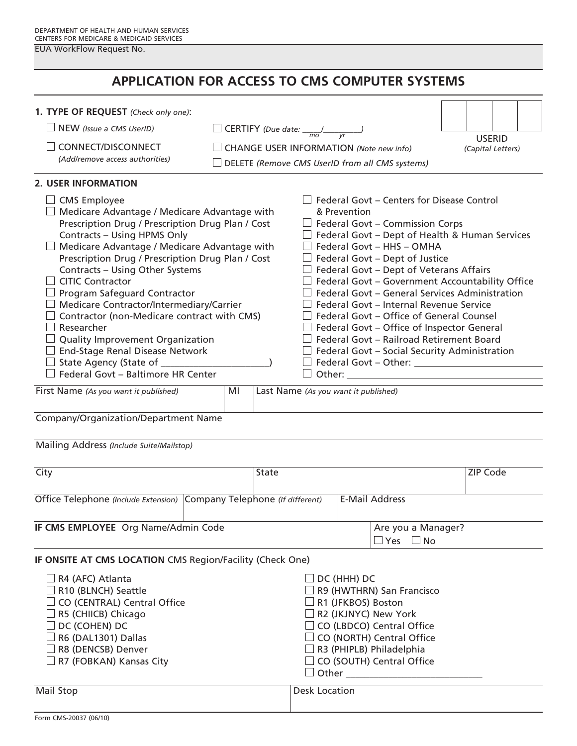EUA WorkFlow Request No.

# **APPLICATION FOR ACCESS TO CMS COMPUTER SYSTEMS**

| 1. TYPE OF REQUEST (Check only one):                                                                                                                                                                                                                                                                                                                                                                                                                                                                                                                                                                                                |                                                 |                                                                                                                                                                                                                                                                                                                                                                                                                                                                                                                                                                                                                                                                                        |                                    |  |  |
|-------------------------------------------------------------------------------------------------------------------------------------------------------------------------------------------------------------------------------------------------------------------------------------------------------------------------------------------------------------------------------------------------------------------------------------------------------------------------------------------------------------------------------------------------------------------------------------------------------------------------------------|-------------------------------------------------|----------------------------------------------------------------------------------------------------------------------------------------------------------------------------------------------------------------------------------------------------------------------------------------------------------------------------------------------------------------------------------------------------------------------------------------------------------------------------------------------------------------------------------------------------------------------------------------------------------------------------------------------------------------------------------------|------------------------------------|--|--|
| NEW (Issue a CMS UserID)                                                                                                                                                                                                                                                                                                                                                                                                                                                                                                                                                                                                            |                                                 | <b>CERTIFY</b> (Due date: $\frac{1}{\sqrt{1-\frac{1}{n}}}\left(\frac{1}{\sqrt{1-\frac{1}{n}}}\right)$                                                                                                                                                                                                                                                                                                                                                                                                                                                                                                                                                                                  |                                    |  |  |
| CONNECT/DISCONNECT                                                                                                                                                                                                                                                                                                                                                                                                                                                                                                                                                                                                                  | <b>CHANGE USER INFORMATION (Note new info)</b>  |                                                                                                                                                                                                                                                                                                                                                                                                                                                                                                                                                                                                                                                                                        | <b>USERID</b><br>(Capital Letters) |  |  |
| (Add/remove access authorities)                                                                                                                                                                                                                                                                                                                                                                                                                                                                                                                                                                                                     | DELETE (Remove CMS UserID from all CMS systems) |                                                                                                                                                                                                                                                                                                                                                                                                                                                                                                                                                                                                                                                                                        |                                    |  |  |
| <b>2. USER INFORMATION</b>                                                                                                                                                                                                                                                                                                                                                                                                                                                                                                                                                                                                          |                                                 |                                                                                                                                                                                                                                                                                                                                                                                                                                                                                                                                                                                                                                                                                        |                                    |  |  |
| <b>CMS</b> Employee<br>Medicare Advantage / Medicare Advantage with<br>Prescription Drug / Prescription Drug Plan / Cost<br>Contracts - Using HPMS Only<br>Medicare Advantage / Medicare Advantage with<br>Prescription Drug / Prescription Drug Plan / Cost<br>Contracts - Using Other Systems<br><b>CITIC Contractor</b><br>Program Safeguard Contractor<br>Medicare Contractor/Intermediary/Carrier<br>Contractor (non-Medicare contract with CMS)<br>Researcher<br><b>Quality Improvement Organization</b><br><b>End-Stage Renal Disease Network</b><br>State Agency (State of __________<br>Federal Govt - Baltimore HR Center |                                                 | $\Box$ Federal Govt – Centers for Disease Control<br>& Prevention<br>$\Box$ Federal Govt – Commission Corps<br>$\Box$ Federal Govt – Dept of Health & Human Services<br>$\Box$ Federal Govt – HHS – OMHA<br>$\Box$ Federal Govt – Dept of Justice<br>$\Box$ Federal Govt – Dept of Veterans Affairs<br>$\Box$ Federal Govt – Government Accountability Office<br>Federal Govt - General Services Administration<br>$\perp$ Federal Govt – Internal Revenue Service<br>$\perp$ Federal Govt – Office of General Counsel<br>$\Box$ Federal Govt – Office of Inspector General<br>$\Box$ Federal Govt – Railroad Retirement Board<br>$\Box$ Federal Govt – Social Security Administration |                                    |  |  |
| First Name (As you want it published)                                                                                                                                                                                                                                                                                                                                                                                                                                                                                                                                                                                               | MI                                              | Last Name (As you want it published)                                                                                                                                                                                                                                                                                                                                                                                                                                                                                                                                                                                                                                                   |                                    |  |  |
| Company/Organization/Department Name                                                                                                                                                                                                                                                                                                                                                                                                                                                                                                                                                                                                |                                                 |                                                                                                                                                                                                                                                                                                                                                                                                                                                                                                                                                                                                                                                                                        |                                    |  |  |
| Mailing Address (Include Suite/Mailstop)                                                                                                                                                                                                                                                                                                                                                                                                                                                                                                                                                                                            |                                                 |                                                                                                                                                                                                                                                                                                                                                                                                                                                                                                                                                                                                                                                                                        |                                    |  |  |

| City                                                                  |  | State                 |  | ZIP Code           |  |
|-----------------------------------------------------------------------|--|-----------------------|--|--------------------|--|
|                                                                       |  |                       |  |                    |  |
| Office Telephone (Include Extension) Company Telephone (If different) |  | <b>E-Mail Address</b> |  |                    |  |
|                                                                       |  |                       |  |                    |  |
| <b>IF CMS EMPLOYEE</b> Org Name/Admin Code                            |  |                       |  | Are you a Manager? |  |
|                                                                       |  |                       |  | Yes $\square$ No   |  |

## **IF ONSITE AT CMS LOCATION** CMS Region/Facility (Check One)

| $\Box$ DC (HHH) DC<br>$\Box$ R4 (AFC) Atlanta<br>$\Box$ R10 (BLNCH) Seattle<br>$\Box$ R9 (HWTHRN) San Francisco<br>$\Box$ CO (CENTRAL) Central Office<br>$\Box$ R1 (JFKBOS) Boston<br>$\Box$ R5 (CHIICB) Chicago<br>$\Box$ R2 (JKJNYC) New York<br>$\Box$ DC (COHEN) DC<br>$\Box$ CO (LBDCO) Central Office<br>$\Box$ R6 (DAL1301) Dallas<br>$\Box$ CO (NORTH) Central Office<br>$\Box$ R8 (DENCSB) Denver<br>$\Box$ R3 (PHIPLB) Philadelphia<br>$\Box$ CO (SOUTH) Central Office<br>$\Box$ R7 (FOBKAN) Kansas City<br>$\Box$ Other |  |
|-------------------------------------------------------------------------------------------------------------------------------------------------------------------------------------------------------------------------------------------------------------------------------------------------------------------------------------------------------------------------------------------------------------------------------------------------------------------------------------------------------------------------------------|--|
|-------------------------------------------------------------------------------------------------------------------------------------------------------------------------------------------------------------------------------------------------------------------------------------------------------------------------------------------------------------------------------------------------------------------------------------------------------------------------------------------------------------------------------------|--|

| Mail Stop | <b>Desk Location</b> |  |  |
|-----------|----------------------|--|--|
|           |                      |  |  |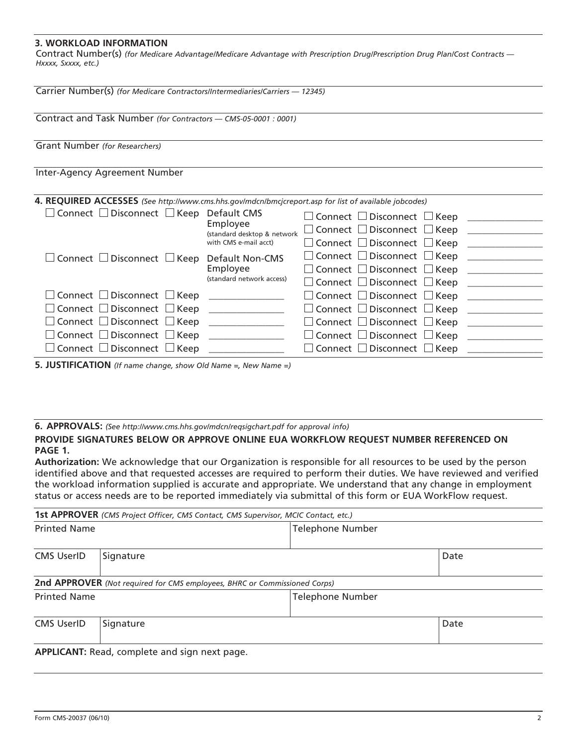### **3. WORKLOAD INFORMATION**

Contract Number(s) *(for Medicare Advantage/Medicare Advantage with Prescription Drug/Prescription Drug Plan/Cost Contracts — Hxxxx, Sxxxx, etc.)* 

| Carrier Number(s) (for Medicare Contractors/Intermediaries/Carriers - 12345)                                                                                                                                                                          |                                                                              |                                                                                                                                                                                                                                                                                              |  |  |
|-------------------------------------------------------------------------------------------------------------------------------------------------------------------------------------------------------------------------------------------------------|------------------------------------------------------------------------------|----------------------------------------------------------------------------------------------------------------------------------------------------------------------------------------------------------------------------------------------------------------------------------------------|--|--|
| Contract and Task Number (for Contractors - CMS-05-0001 : 0001)                                                                                                                                                                                       |                                                                              |                                                                                                                                                                                                                                                                                              |  |  |
| Grant Number (for Researchers)                                                                                                                                                                                                                        |                                                                              |                                                                                                                                                                                                                                                                                              |  |  |
| Inter-Agency Agreement Number                                                                                                                                                                                                                         |                                                                              |                                                                                                                                                                                                                                                                                              |  |  |
| 4. REQUIRED ACCESSES (See http://www.cms.hhs.gov/mdcn/bmcjcreport.asp for list of available jobcodes)<br>$\Box$ Connect $\Box$ Disconnect $\Box$ Keep Default CMS<br>$\Box$ Connect $\Box$ Disconnect $\Box$ Keep Default Non-CMS                     | Employee<br>(standard desktop & network<br>with CMS e-mail acct)<br>Employee | $\Box$ Connect $\Box$ Disconnect $\Box$ Keep<br>$\Box$ Connect $\Box$ Disconnect $\Box$ Keep<br>$\Box$ Connect $\Box$ Disconnect $\Box$ Keep<br>$\Box$ Connect $\Box$ Disconnect $\Box$ Keep<br>$\Box$ Connect $\Box$ Disconnect $\Box$ Keep                                                 |  |  |
| $\square$ Connect $\square$ Disconnect $\square$ Keep<br>$\Box$ Connect $\Box$ Disconnect $\Box$ Keep<br>$\Box$ Connect $\Box$ Disconnect $\Box$ Keep<br>$\Box$ Connect $\Box$ Disconnect $\Box$ Keep<br>$\Box$ Connect $\Box$ Disconnect $\Box$ Keep | (standard network access)                                                    | $\Box$ Connect $\Box$ Disconnect $\Box$ Keep<br>$\Box$ Connect $\Box$ Disconnect $\Box$ Keep<br>$\Box$ Connect $\Box$ Disconnect $\Box$ Keep<br>$\Box$ Connect $\Box$ Disconnect $\Box$ Keep<br>$\Box$ Connect $\Box$ Disconnect $\Box$ Keep<br>$\Box$ Connect $\Box$ Disconnect $\Box$ Keep |  |  |

**5. JUSTIFICATION** *(If name change, show Old Name =, New Name =)* 

**6. APPROvALS:** *(See http://www.cms.hhs.gov/mdcn/reqsigchart.pdf for approval info)* 

#### **PROvIDE SIgNATURES bELOW OR APPROvE ONLINE EUA WORKFLOW REQUEST NUMbER REFERENCED ON PAgE 1.**

**Authorization:** We acknowledge that our Organization is responsible for all resources to be used by the person identified above and that requested accesses are required to perform their duties. We have reviewed and verified the workload information supplied is accurate and appropriate. We understand that any change in employment status or access needs are to be reported immediately via submittal of this form or EUA WorkFlow request.

|                     | 1st APPROVER (CMS Project Officer, CMS Contact, CMS Supervisor, MCIC Contact, etc.) |                         |      |  |
|---------------------|-------------------------------------------------------------------------------------|-------------------------|------|--|
| <b>Printed Name</b> |                                                                                     | <b>Telephone Number</b> |      |  |
| <b>CMS UserID</b>   | Signature                                                                           |                         | Date |  |
|                     | 2nd APPROVER (Not required for CMS employees, BHRC or Commissioned Corps)           |                         |      |  |
| <b>Printed Name</b> |                                                                                     | <b>Telephone Number</b> |      |  |
| <b>CMS UserID</b>   | Signature                                                                           |                         | Date |  |
|                     | APPLICANT: Read, complete and sign next page.                                       |                         |      |  |

Form CMS-20037 (06/10)